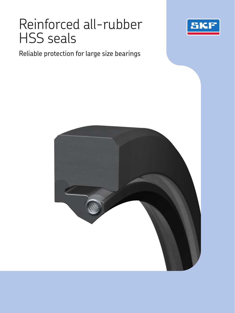# Reinforced all-rubber HSS seals



Reliable protection for large size bearings

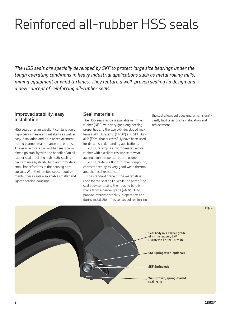# Reinforced all-rubber HSS seals

*The HSS seals are specially developed by SKF to protect large size bearings under the tough operating conditions in heavy industrial applications such as metal rolling mills, mining equipment or wind turbines. They feature a well-proven sealing lip design and a new concept of reinforcing all-rubber seals.*

### Improved stability, easy installation

HSS seals offer an excellent combination of high-performance and reliability as well as easy installation and on-site replacement during planned maintenance procedures. The new reinforced all-rubber seals combine high stability with the benefit of an allrubber seal providing high static sealing performance by its ability to accommodate small imperfections in the housing bore surface. With their limited space requirements, these seals also enable smaller and lighter bearing housings.

## Seal materials

The HSS seals range is available in nitrile rubber (NBR) with very good engineering properties and the two SKF developed materials SKF Duratemp (HNBR) and SKF Duralife (FKM) that successfully have been used for decades in demanding applications.

SKF Duratemp is a hydrogenated nitrile rubber with excellent resistance to wear, ageing, high temperatures and ozone.

SKF Duralife is a fluoro rubber compound, characterized by its very good wear, thermal and chemical resistance.

The standard grade of the materials is used for the sealing lip, while the part of the seal body contacting the housing bore is made from a harder grade ( $\rightarrow$  **fig. 1**) to provide improved stability in operation and during installation. This concept of reinforcing the seal allows split designs, which significantly facilitates onsite installation and replacement.

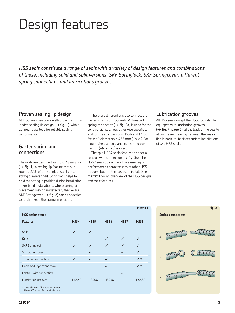# Design features

*HSS seals constitute a range of seals with a variety of design features and combinations of these, including solid and split versions, SKF Springlock, SKF Springcover, different spring connections and lubrications grooves.*

### Proven sealing lip design

All HSS seals feature a well-proven, springloaded sealing lip design  $(\rightarrow$  fig. 1) with a defined radial load for reliable sealing performance.

### Garter spring and connections

The seals are designed with SKF Springlock  $(\rightarrow$  fig. 1), a sealing lip feature that surrounds 270° of the stainless steel garter spring diameter. SKF Springlock helps to hold the spring in position during installation.

For blind installations, where spring displacement may go undetected, the flexible SKF Springcover ( $\rightarrow$  fig. 2) can be specified to further keep the spring in position.

There are different ways to connect the garter springs of HSS seals. A threaded spring connection  $(\rightarrow$  **fig. 2a**) is used for the solid versions, unless otherwise specified, and for the split versions HSS6 and HSS8 for shaft diameters ≤ 455 mm *(18 in.)*. For bigger sizes, a hook-and-eye spring connection  $(\rightarrow$  **fig. 2b**) is used.

The split HSS7 seals feature the special control-wire connection (**† fig. 2c**). The HSS7 seals do not have the same highperformance characteristics of other HSS designs, but are the easiest to install. See **matrix 1** for an overview of the HSS designs and their features.

**Matrix 1**

### Lubrication grooves

All HSS seals except the HSS7 can also be equipped with lubrication grooves  $(\rightarrow$  **fig. 4, page 5**) at the back of the seal to allow the re-greasing between the sealing lips in back-to-back or tandem installations of two HSS seals.

|                         |       |                  |                  |              | Matrix 1         |
|-------------------------|-------|------------------|------------------|--------------|------------------|
| <b>HSS design range</b> |       |                  |                  |              |                  |
| <b>Features</b>         | HSS4  | HSS <sub>5</sub> | HSS <sub>6</sub> | HSS7         | HSS <sub>8</sub> |
| Solid                   | J     | ✓                |                  |              |                  |
| <b>Split</b>            |       |                  | ✓                | ✓            |                  |
| <b>SKF Springlock</b>   | ✓     | ✓                | ✓                | ✓            |                  |
| <b>SKF Springcover</b>  |       | ✓                |                  | $\checkmark$ | ✓                |
| Threaded connection     | ✓     | ✓                | $\sqrt{1}$       |              | $\checkmark$ 1)  |
| Hook-and-eye connection |       |                  | $\sqrt{2}$       |              | $\checkmark$ 2)  |
| Control-wire connection |       |                  |                  | ✓            |                  |
| Lubrication grooves     | HSS4G | HSS5G            | HSS6G            |              | HSS8G            |
|                         |       |                  |                  |              |                  |



<sup>1)</sup> Up to 455 mm *(18 in.)* shaft diameter<br><sup>2)</sup> Above 455 mm *(18 in.)* shaft diameter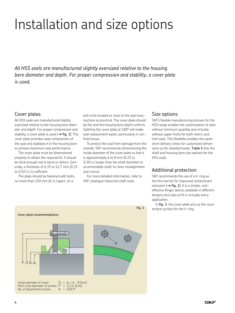# Installation and size options

*All HSS seals are manufactured slightly oversized relative to the housing bore diameter and depth. For proper compression and stability, a cover plate is used.* 

## Cover plates

All HSS seals are manufactured slightly oversized relative to the housing bore diameter and depth. For proper compression and stability, a cover plate is used (**† fig. 3**). The cover plate provides axial compression of the seal and stabilizes it in the housing bore to achieve maximum seal performance.

The cover plate must be dimensioned properly to obtain the required fit. It should be thick enough not to bend or distort. Generally, a thickness of 6,35 *to* 12,7 mm *(0.25 to 0.50 in.)* is sufficient.

The plate should be fastened with bolts, no more than 150 mm *(6 in.)* apart, on a

bolt circle located as close to the seal housing bore as practical. The cover plate should be flat and the housing bore depth uniform. Splitting the cover plate at 180° will make seal replacement easier, particularly in confined areas.

To protect the seal from damage from the outside, SKF recommends dimensioning the inside diameter of the cover plate so that it is approximately 6 to 8 mm *(0.25 to 0.30 in.)* larger than the shaft diameter to accommodate shaft-to-bore misalignment and runout.

For more detailed information, refer to SKF catalogue *Industrial shaft seals*.

## Size options

SKF's flexible manufacturing process for the HSS range enables the customization of sizes without minimum quantity and virtually without upper limits for both metric and inch sizes. This flexibility enables the same short delivery times for customized dimensions as for standard seals. **Table 1** lists the shaft and housing bore size options for the HSS seals.

## Additional protection

SKF recommends the use of a V-ring as the first barrier for improved contaminant exclusion  $(\rightarrow$  **fig. 3**). It is a simple, costeffective flinger device, available in different designs and sizes to fit in virtually every application.

In **fig. 3**, the cover plate acts as the counterface surface for the V-ring.

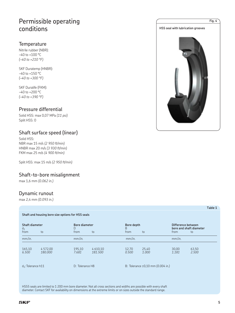# Permissible operating conditions

## **Temperature**

Nitrile rubber (NBR): *–*40 to +100 °C *(–40 to +210 °F)*

SKF Duratemp (HNBR): *–*40 to +150 °C *(–40 to +300 °F)*

SKF Duralife (FKM): *–*40 to +200 °C *(–40 to +390 °F)*

# Pressure differential

Solid HSS: max 0,07 MPa *(11 psi)* Split HSS: 0

# Shaft surface speed (linear)

Solid HSS: NBR max 15 m/s *(2 950 ft/min)* HNBR max 20 m/s *(3 930 ft/min)* FKM max 25 m/s *(4 900 ft/min)*

Split HSS: max 15 m/s *(2 950 ft/min)*

## Shaft-to-bore misalignment

max 1,6 mm *(0.062 in.)*

# Dynamic runout

max 2,4 mm *(0.093 in.)*

#### **Shaft and housing bore size options for HSS seals**

| Shaft diameter<br>$d_1$<br>from | to                  | <b>Bore diameter</b><br>D<br>from | to                   | Bore depth<br>B<br>from | to                                | Difference between<br>bore and shaft diameter<br>from | to             |
|---------------------------------|---------------------|-----------------------------------|----------------------|-------------------------|-----------------------------------|-------------------------------------------------------|----------------|
| mm/in.                          |                     | mm/in.                            |                      | mm/in.                  |                                   | mm/in.                                                |                |
| 165,10<br>6.500                 | 4 572,00<br>180,000 | 195.10<br>7.681                   | 4 6 10.10<br>181.500 | 12,70<br>0.500          | 25,40<br>1.000                    | 30,00<br>1.181                                        | 63,50<br>2.500 |
| $d_1$ : Tolerance $h11$         |                     | D: Tolerance H8                   |                      |                         | B: Tolerance ±0,10 mm (0.004 in.) |                                                       |                |

HSS5 seals are limited to 1 200 mm bore diameter. Not all cross sections and widths are possible with every shaft diameter. Contact SKF for availability on dimensions at the extreme limits or on sizes outside the standard range.



**Table 1**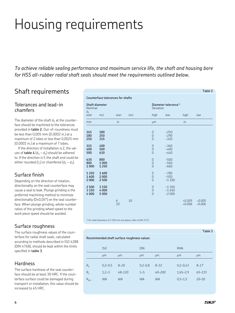# Housing requirements

*To achieve reliable sealing performance and maximum service life, the shaft and housing bore for HSS all-rubber radial shaft seals should meet the requirements outlined below.*

# Shaft requirements

# Tolerances and lead-in chamfers

The diameter of the shaft  $d_1$  at the counterface should be machined to the tolerances provided in **table 2**. Out-of-roundness must be less than 0,005 mm *(0.0002 in.)* at a maximum of 2 lobes or less than 0,0025 mm *(0.0001 in.)* at a maximum of 7 lobes.

If the direction of installation is Z, the values of **table 4**  $(d_1 - d_2)$  should be adhered to. If the direction is Y, the shaft end could be either rounded ( $r_2$ ) or chamfered ( $d_1 - d_2$ ).

# Surface finish

Depending on the direction of rotation, directionality on the seal counterface may cause a seal to leak. Plunge grinding is the preferred machining method to minimize directionality (0±0,05°) on the seal counterface. When plunge grinding, whole number ratios of the grinding wheel speed to the work piece speed should be avoided.

# Surface roughness

The surface roughness values of the counterface for radial shaft seals, calculated according to methods described in ISO 4288 (DIN 4768), should be kept within the limits specified in **table 3**.

# **Hardness**

The surface hardness of the seal counterface should be at least 30 HRC. If the counterface surface could be damaged during transport or installation, this value should be increased to 45 HRC.

| <b>Counterface tolerances for shafts</b> |                            |         |       |                                                    |                                  |                      |                      |
|------------------------------------------|----------------------------|---------|-------|----------------------------------------------------|----------------------------------|----------------------|----------------------|
| Nominal                                  | Shaft diameter             |         |       | Deviation                                          | Diameter tolerance <sup>1)</sup> |                      |                      |
| $d_1$<br>over                            | incl.                      | over    | incl. | high                                               | low                              | high                 | low                  |
| mm                                       |                            | in.     |       | μm                                                 |                                  | in.                  |                      |
| 165<br>180<br>250                        | 180<br>250<br>315          |         |       | $\theta$<br>$\overline{0}$<br>$\overline{0}$       | $-250$<br>$-290$<br>$-320$       |                      |                      |
| 315<br>400<br>500                        | 400<br>500<br>630          |         |       | $\theta$<br>$\overline{0}$<br>$\Omega$             | $-360$<br>$-400$<br>$-440$       |                      |                      |
| 630<br>800<br>1000                       | 800<br>1000<br>1250        |         |       | $\overline{0}$<br>$\overline{0}$<br>$\overline{0}$ | $-500$<br>$-560$<br>$-660$       |                      |                      |
| 1250<br>1600<br>2000                     | 1600<br>2000<br>2 5 0 0    |         |       | $\overline{0}$<br>$\overline{0}$<br>$\Omega$       | $-780$<br>$-920$<br>$-1100$      |                      |                      |
| 2 5 0 0<br>3 1 5 0<br>4 0 0 0            | 3 1 5 0<br>4000<br>5 0 0 0 |         |       | $\theta$<br>$\overline{0}$<br>$\overline{0}$       | $-1350$<br>$-1650$<br>$-2000$    |                      |                      |
|                                          |                            | 6<br>10 | 10    |                                                    |                                  | $+0.005$<br>$+0.006$ | $-0.005$<br>$-0.006$ |

1) For shaft diameters of 3 150 mm and above, refer to DIN 7172.

#### **Table 3**

**Table 2**

**Recommended shaft surface roughness values**

|          | IS <sub>0</sub> |          | <b>DIN</b> |            | <b>RMA</b>   |            |
|----------|-----------------|----------|------------|------------|--------------|------------|
|          | μm              | µin.     | μm         | $\mu$ in.  | µm           | $\mu$ in.  |
| $R_{a}$  | $0,2-0,5$       | $8 - 20$ | $0,2-0,8$  | $8 - 32$   | $0,2-0,43$   | $8 - 17$   |
| $R_{z}$  | $1,2-3$         | 48-120   | $1 - 5$    | $40 - 200$ | $1,65 - 2,9$ | $65 - 115$ |
| $R_{pm}$ | N/A             | N/A      | N/A        | N/A        | $0,5-1,5$    | $20 - 50$  |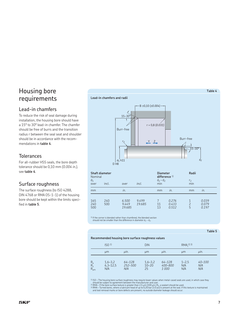# Housing bore requirements

# Lead-in chamfers

To reduce the risk of seal damage during installation, the housing bore should have a 15° to 30° lead-in chamfer. The chamfer should be free of burrs and the transition radius r between the seal seat and shoulder should be in accordance with the recommendations in **table 4**.

## **Tolerances**

For all-rubber HSS seals, the bore depth tolerance should be 0,10 mm *(0.004 in.)*, see **table 4**.

## Surface roughness

The surface roughness (to ISO 4288, DIN 4768 or RMA OS-1-1) of the housing bore should be kept within the limits specified in **table 5**.

# **Table 4 Lead-in chamfers and radii**  $d_1$  h11 d<sub>2</sub>  $D$  $H8$  $r<sub>2</sub>$  $\overline{30}$ r = 0,8 *(0.031)* 15–30° B ±0,10 *(±0.004)*  $Y Z$ Burr-free Burr-free

| Shaft diameter<br>Nominal<br>$d_1$<br>over | incl.      | over                     | incl.           | <b>Diameter</b><br>difference $1$ )<br>$d_1 - d_2$<br>min |                         | Radii<br>r,<br>min |                         |
|--------------------------------------------|------------|--------------------------|-----------------|-----------------------------------------------------------|-------------------------|--------------------|-------------------------|
| mm                                         |            | in.                      |                 | mm                                                        | in.                     | mm                 | in.                     |
| 165<br>240<br>500                          | 240<br>500 | 6.500<br>9.449<br>19.685 | 9.499<br>19.685 | 11<br>13                                                  | 0.276<br>0.433<br>0.512 | 5                  | 0.039<br>0.079<br>0.197 |

1) If the corner is blended rather than chamfered, the blended section should not be smaller than the difference in diameter  $d_1 - d_2$ .

#### **Table 5**

#### **Recommended housing bore surface roughness values**

|                                            | ISO <sub>1</sub>                 |                              | <b>DIN</b>                     |                               | $RMA2$ 3)               |                      |
|--------------------------------------------|----------------------------------|------------------------------|--------------------------------|-------------------------------|-------------------------|----------------------|
|                                            | um                               | µin.                         | µm                             | $\mu$ in.                     | µm                      | uin.                 |
| $R_{\rm a}$<br>$R_{\rm z}$<br>$R_{\rm pm}$ | $1,6 - 3,2$<br>$6,3-12,5$<br>N/A | $64 - 128$<br>252-500<br>N/A | $1,6 - 3,2$<br>$10 - 20$<br>25 | $64 - 128$<br>400-800<br>1000 | $1 - 2.5$<br>N/A<br>N/A | 40-100<br>N/A<br>N/A |

1) ISO – The housing bore surface roughness may require lower values when metal-cased seals are used, in which case they

should be subject to agreement between the manufacturer and user.<br><sup>2)</sup> RMA – If the bore surface texture is greater than 2,5 µm (100 µin, R<sub>a</sub>, a sealant should be used.<br><sup>3)</sup> RMA – Turned bores, where a lubricant head of